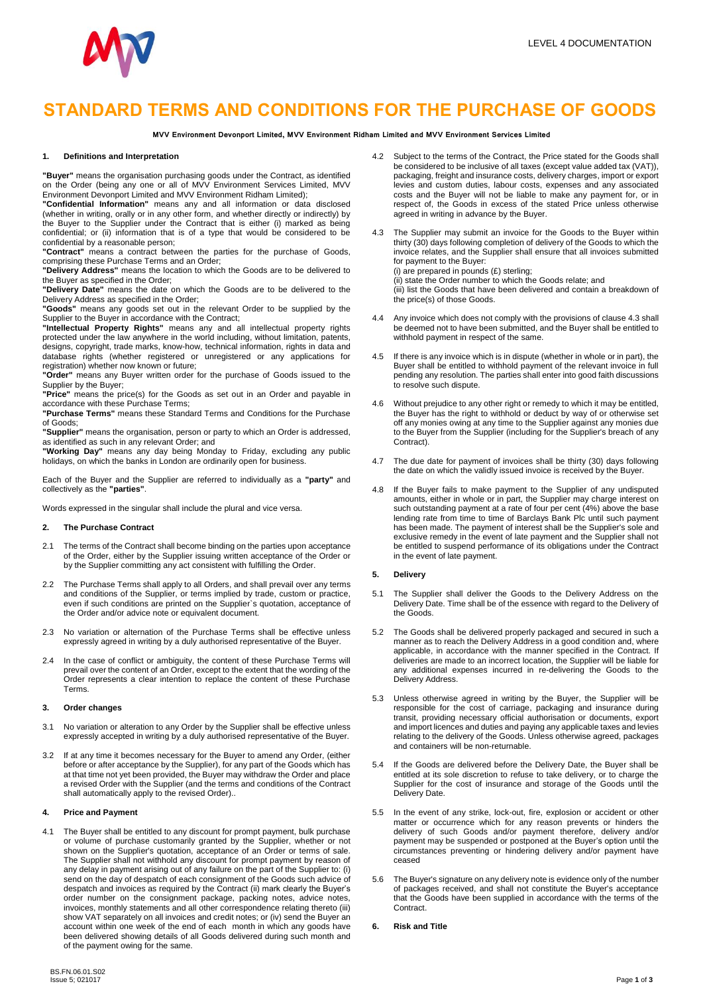

# **STANDARD TERMS AND CONDITIONS FOR THE PURCHASE OF GOODS**

**MVV Environment Devonport Limited, MVV Environment Ridham Limited and MVV Environment Services Limited**

#### **1. Definitions and Interpretation**

**"Buyer"** means the organisation purchasing goods under the Contract, as identified on the Order (being any one or all of MVV Environment Services Limited, MVV Environment Devonport Limited and MVV Environment Ridham Limited);

**"Confidential Information"** means any and all information or data disclosed (whether in writing, orally or in any other form, and whether directly or indirectly) by the Buyer to the Supplier under the Contract that is either (i) marked as being confidential; or (ii) information that is of a type that would be considered to be confidential by a reasonable person;

**"Contract"** means a contract between the parties for the purchase of Goods,

comprising these Purchase Terms and an Order; **"Delivery Address"** means the location to which the Goods are to be delivered to the Buyer as specified in the Order;

**"Delivery Date"** means the date on which the Goods are to be delivered to the Delivery Address as specified in the Order;

**"Goods"** means any goods set out in the relevant Order to be supplied by the Supplier to the Buyer in accordance with the Contract;

**"Intellectual Property Rights"** means any and all intellectual property rights protected under the law anywhere in the world including, without limitation, patents, designs, copyright, trade marks, know-how, technical information, rights in data and database rights (whether registered or unregistered or any applications for

registration) whether now known or future; **"Order"** means any Buyer written order for the purchase of Goods issued to the Supplier by the Buyer;

**"Price"** means the price(s) for the Goods as set out in an Order and payable in accordance with these Purchase Terms;

**"Purchase Terms"** means these Standard Terms and Conditions for the Purchase of Goods;

**"Supplier"** means the organisation, person or party to which an Order is addressed, as identified as such in any relevant Order; and

**"Working Day"** means any day being Monday to Friday, excluding any public holidays, on which the banks in London are ordinarily open for business.

Each of the Buyer and the Supplier are referred to individually as a **"party"** and collectively as the **"parties"**.

Words expressed in the singular shall include the plural and vice versa.

# **2. The Purchase Contract**

- 2.1 The terms of the Contract shall become binding on the parties upon acceptance of the Order, either by the Supplier issuing written acceptance of the Order or by the Supplier committing any act consistent with fulfilling the Order.
- 2.2 The Purchase Terms shall apply to all Orders, and shall prevail over any terms and conditions of the Supplier, or terms implied by trade, custom or practice, even if such conditions are printed on the Supplier`s quotation, acceptance of the Order and/or advice note or equivalent document.
- 2.3 No variation or alternation of the Purchase Terms shall be effective unless expressly agreed in writing by a duly authorised representative of the Buyer.
- 2.4 In the case of conflict or ambiguity, the content of these Purchase Terms will prevail over the content of an Order, except to the extent that the wording of the Order represents a clear intention to replace the content of these Purchase Terms.

## **3. Order changes**

- 3.1 No variation or alteration to any Order by the Supplier shall be effective unless expressly accepted in writing by a duly authorised representative of the Buyer.
- 3.2 If at any time it becomes necessary for the Buyer to amend any Order, (either before or after acceptance by the Supplier), for any part of the Goods which has at that time not yet been provided, the Buyer may withdraw the Order and place a revised Order with the Supplier (and the terms and conditions of the Contract shall automatically apply to the revised Order)..

## **4. Price and Payment**

4.1 The Buyer shall be entitled to any discount for prompt payment, bulk purchase or volume of purchase customarily granted by the Supplier, whether or not shown on the Supplier's quotation, acceptance of an Order or terms of sale. The Supplier shall not withhold any discount for prompt payment by reason of any delay in payment arising out of any failure on the part of the Supplier to: (i) send on the day of despatch of each consignment of the Goods such advice of despatch and invoices as required by the Contract (ii) mark clearly the Buyer's order number on the consignment package, packing notes, advice notes, invoices, monthly statements and all other correspondence relating thereto (iii) show VAT separately on all invoices and credit notes; or (iv) send the Buyer an account within one week of the end of each month in which any goods have been delivered showing details of all Goods delivered during such month and of the payment owing for the same.

- 4.2 Subject to the terms of the Contract, the Price stated for the Goods shall be considered to be inclusive of all taxes (except value added tax (VAT)), packaging, freight and insurance costs, delivery charges, import or export levies and custom duties, labour costs, expenses and any associated costs and the Buyer will not be liable to make any payment for, or in respect of, the Goods in excess of the stated Price unless otherwise agreed in writing in advance by the Buyer.
- 4.3 The Supplier may submit an invoice for the Goods to the Buyer within thirty (30) days following completion of delivery of the Goods to which the invoice relates, and the Supplier shall ensure that all invoices submitted for payment to the Buyer:

(i) are prepared in pounds  $(E)$  sterling; (ii) state the Order number to which the Goods relate; and

(iii) list the Goods that have been delivered and contain a breakdown of the price(s) of those Goods.

- 4.4 Any invoice which does not comply with the provisions of clause 4.3 shall be deemed not to have been submitted, and the Buyer shall be entitled to withhold payment in respect of the same.
- 4.5 If there is any invoice which is in dispute (whether in whole or in part), the Buyer shall be entitled to withhold payment of the relevant invoice in full pending any resolution. The parties shall enter into good faith discussions to resolve such dispute.
- 4.6 Without prejudice to any other right or remedy to which it may be entitled, the Buyer has the right to withhold or deduct by way of or otherwise set off any monies owing at any time to the Supplier against any monies due to the Buyer from the Supplier (including for the Supplier's breach of any Contract).
- 4.7 The due date for payment of invoices shall be thirty (30) days following the date on which the validly issued invoice is received by the Buyer.
- 4.8 If the Buyer fails to make payment to the Supplier of any undisputed amounts, either in whole or in part, the Supplier may charge interest on such outstanding payment at a rate of four per cent (4%) above the base lending rate from time to time of Barclays Bank Plc until such payment has been made. The payment of interest shall be the Supplier's sole and exclusive remedy in the event of late payment and the Supplier shall not be entitled to suspend performance of its obligations under the Contract in the event of late payment.
- **5. Delivery**
- 5.1 The Supplier shall deliver the Goods to the Delivery Address on the Delivery Date. Time shall be of the essence with regard to the Delivery of the Goods.
- 5.2 The Goods shall be delivered properly packaged and secured in such a manner as to reach the Delivery Address in a good condition and, where applicable, in accordance with the manner specified in the Contract. If deliveries are made to an incorrect location, the Supplier will be liable for any additional expenses incurred in re-delivering the Goods to the Delivery Address.
- Unless otherwise agreed in writing by the Buyer, the Supplier will be responsible for the cost of carriage, packaging and insurance during transit, providing necessary official authorisation or documents, export and import licences and duties and paying any applicable taxes and levies relating to the delivery of the Goods. Unless otherwise agreed, packages and containers will be non-returnable.
- 5.4 If the Goods are delivered before the Delivery Date, the Buyer shall be entitled at its sole discretion to refuse to take delivery, or to charge the Supplier for the cost of insurance and storage of the Goods until the Delivery Date.
- 5.5 In the event of any strike, lock-out, fire, explosion or accident or other matter or occurrence which for any reason prevents or hinders the delivery of such Goods and/or payment therefore, delivery and/or payment may be suspended or postponed at the Buyer's option until the circumstances preventing or hindering delivery and/or payment have ceased
- 5.6 The Buyer's signature on any delivery note is evidence only of the number of packages received, and shall not constitute the Buyer's acceptance that the Goods have been supplied in accordance with the terms of the **Contract**
- **6. Risk and Title**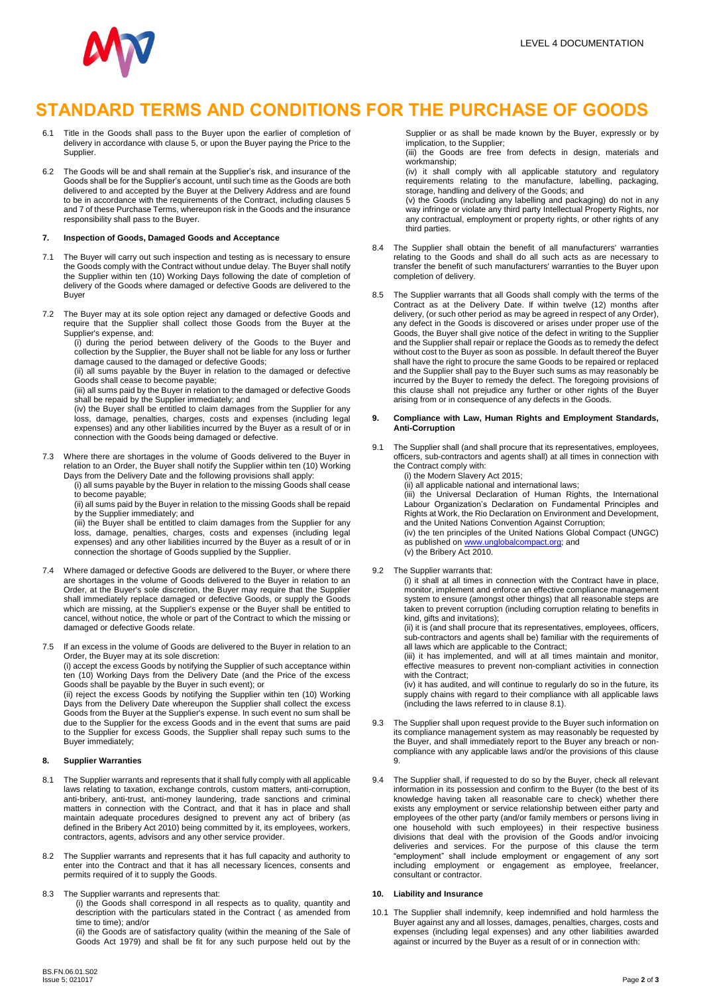

# **STANDARD TERMS AND CONDITIONS FOR THE PURCHASE OF GOODS**

- 6.1 Title in the Goods shall pass to the Buyer upon the earlier of completion of delivery in accordance with clause 5, or upon the Buyer paying the Price to the Supplier.
- 6.2 The Goods will be and shall remain at the Supplier's risk, and insurance of the Goods shall be for the Supplier's account, until such time as the Goods are both delivered to and accepted by the Buyer at the Delivery Address and are found to be in accordance with the requirements of the Contract, including clauses 5 and 7 of these Purchase Terms, whereupon risk in the Goods and the insurance responsibility shall pass to the Buyer.

## **7. Inspection of Goods, Damaged Goods and Acceptance**

- 7.1 The Buyer will carry out such inspection and testing as is necessary to ensure the Goods comply with the Contract without undue delay. The Buyer shall notify the Supplier within ten (10) Working Days following the date of completion of delivery of the Goods where damaged or defective Goods are delivered to the Buyer
- 7.2 The Buyer may at its sole option reject any damaged or defective Goods and require that the Supplier shall collect those Goods from the Buyer at the Supplier's expense, and:

(i) during the period between delivery of the Goods to the Buyer and collection by the Supplier, the Buyer shall not be liable for any loss or further damage caused to the damaged or defective Goods;

(ii) all sums payable by the Buyer in relation to the damaged or defective Goods shall cease to become payable;

(iii) all sums paid by the Buyer in relation to the damaged or defective Goods shall be repaid by the Supplier immediately; and

(iv) the Buyer shall be entitled to claim damages from the Supplier for any loss, damage, penalties, charges, costs and expenses (including legal expenses) and any other liabilities incurred by the Buyer as a result of or in connection with the Goods being damaged or defective.

- 7.3 Where there are shortages in the volume of Goods delivered to the Buyer in relation to an Order, the Buyer shall notify the Supplier within ten (10) Working Days from the Delivery Date and the following provisions shall apply:
	- (i) all sums payable by the Buyer in relation to the missing Goods shall cease to become payable;

(ii) all sums paid by the Buyer in relation to the missing Goods shall be repaid by the Supplier immediately; and

(iii) the Buyer shall be entitled to claim damages from the Supplier for any loss, damage, penalties, charges, costs and expenses (including legal expenses) and any other liabilities incurred by the Buyer as a result of or in connection the shortage of Goods supplied by the Supplier.

- 7.4 Where damaged or defective Goods are delivered to the Buyer, or where there are shortages in the volume of Goods delivered to the Buyer in relation to an Order, at the Buyer's sole discretion, the Buyer may require that the Supplier shall immediately replace damaged or defective Goods, or supply the Goods which are missing, at the Supplier's expense or the Buyer shall be entitled to cancel, without notice, the whole or part of the Contract to which the missing or damaged or defective Goods relate.
- 7.5 If an excess in the volume of Goods are delivered to the Buyer in relation to an Order, the Buyer may at its sole discretion: (i) accept the excess Goods by notifying the Supplier of such acceptance within ten (10) Working Days from the Delivery Date (and the Price of the excess

Goods shall be payable by the Buyer in such event); or (ii) reject the excess Goods by notifying the Supplier within ten (10) Working Days from the Delivery Date whereupon the Supplier shall collect the excess Goods from the Buyer at the Supplier's expense. In such event no sum shall be due to the Supplier for the excess Goods and in the event that sums are paid to the Supplier for excess Goods, the Supplier shall repay such sums to the Buyer immediately;

### **8. Supplier Warranties**

- 8.1 The Supplier warrants and represents that it shall fully comply with all applicable laws relating to taxation, exchange controls, custom matters, anti-corruption, anti-bribery, anti-trust, anti-money laundering, trade sanctions and criminal matters in connection with the Contract, and that it has in place and shall maintain adequate procedures designed to prevent any act of bribery (as defined in the Bribery Act 2010) being committed by it, its employees, workers, contractors, agents, advisors and any other service provider.
- 8.2 The Supplier warrants and represents that it has full capacity and authority to enter into the Contract and that it has all necessary licences, consents and permits required of it to supply the Goods.

8.3 The Supplier warrants and represents that:

(i) the Goods shall correspond in all respects as to quality, quantity and description with the particulars stated in the Contract ( as amended from time to time); and/or

(ii) the Goods are of satisfactory quality (within the meaning of the Sale of Goods Act 1979) and shall be fit for any such purpose held out by the Supplier or as shall be made known by the Buyer, expressly or by implication, to the Supplier;

(iii) the Goods are free from defects in design, materials and workmanship;

(iv) it shall comply with all applicable statutory and regulatory requirements relating to the manufacture, labelling, packaging, storage, handling and delivery of the Goods; and

(v) the Goods (including any labelling and packaging) do not in any way infringe or violate any third party Intellectual Property Rights, nor any contractual, employment or property rights, or other rights of any third parties.

- 8.4 The Supplier shall obtain the benefit of all manufacturers' warranties relating to the Goods and shall do all such acts as are necessary to transfer the benefit of such manufacturers' warranties to the Buyer upon completion of delivery.
- 8.5 The Supplier warrants that all Goods shall comply with the terms of the Contract as at the Delivery Date. If within twelve (12) months after delivery, (or such other period as may be agreed in respect of any Order), any defect in the Goods is discovered or arises under proper use of the Goods, the Buyer shall give notice of the defect in writing to the Supplier and the Supplier shall repair or replace the Goods as to remedy the defect without cost to the Buyer as soon as possible. In default thereof the Buyer shall have the right to procure the same Goods to be repaired or replaced and the Supplier shall pay to the Buyer such sums as may reasonably be incurred by the Buyer to remedy the defect. The foregoing provisions of this clause shall not prejudice any further or other rights of the Buyer arising from or in consequence of any defects in the Goods.

## **9. Compliance with Law, Human Rights and Employment Standards, Anti-Corruption**

9.1 The Supplier shall (and shall procure that its representatives, employees, officers, sub-contractors and agents shall) at all times in connection with the Contract comply with:

(i) the Modern Slavery Act 2015;

(ii) all applicable national and international laws;

(iii) the Universal Declaration of Human Rights, the International Labour Organization's Declaration on Fundamental Principles and Rights at Work, the Rio Declaration on Environment and Development, and the United Nations Convention Against Corruption; (iv) the ten principles of the United Nations Global Compact (UNGC)

as published o[n www.unglobalcompact.org;](http://www.unglobalcompact.org/) and (v) the Bribery Act 2010.

## 9.2 The Supplier warrants that:

(i) it shall at all times in connection with the Contract have in place, monitor, implement and enforce an effective compliance management system to ensure (amongst other things) that all reasonable steps are taken to prevent corruption (including corruption relating to benefits in kind, gifts and invitations);

(ii) it is (and shall procure that its representatives, employees, officers, sub-contractors and agents shall be) familiar with the requirements of all laws which are applicable to the Contract;

(iii) it has implemented, and will at all times maintain and monitor, effective measures to prevent non-compliant activities in connection with the Contract;

(iv) it has audited, and will continue to regularly do so in the future, its supply chains with regard to their compliance with all applicable laws (including the laws referred to in clause 8.1).

- 9.3 The Supplier shall upon request provide to the Buyer such information on its compliance management system as may reasonably be requested by the Buyer, and shall immediately report to the Buyer any breach or noncompliance with any applicable laws and/or the provisions of this clause 9.
- 9.4 The Supplier shall, if requested to do so by the Buyer, check all relevant information in its possession and confirm to the Buyer (to the best of its knowledge having taken all reasonable care to check) whether there exists any employment or service relationship between either party and employees of the other party (and/or family members or persons living in one household with such employees) in their respective business divisions that deal with the provision of the Goods and/or invoicing deliveries and services. For the purpose of this clause the term "employment" shall include employment or engagement of any sort including employment or engagement as employee, freelancer, consultant or contractor.

## **10. Liability and Insurance**

10.1 The Supplier shall indemnify, keep indemnified and hold harmless the Buyer against any and all losses, damages, penalties, charges, costs and expenses (including legal expenses) and any other liabilities awarded against or incurred by the Buyer as a result of or in connection with: